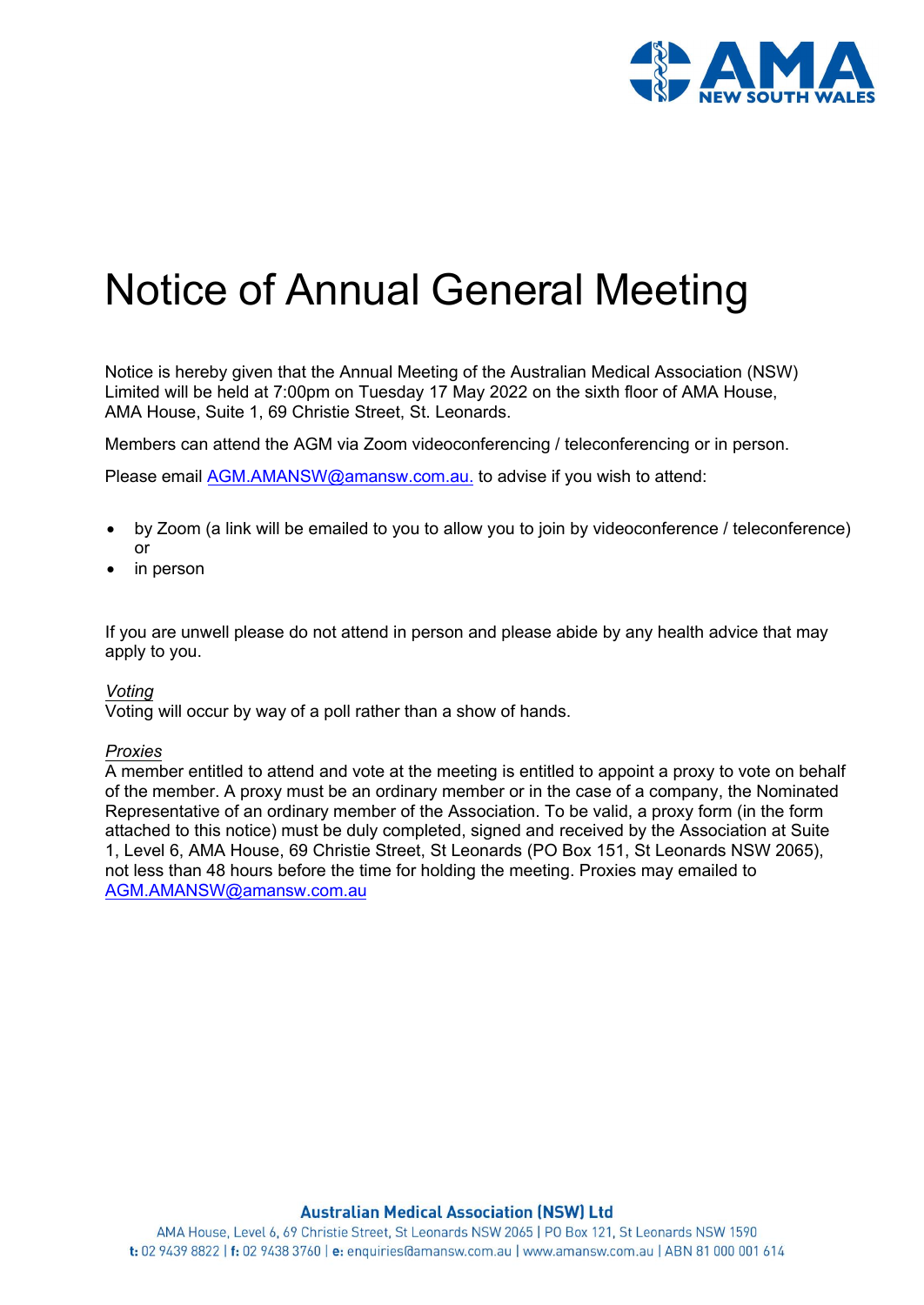

# Notice of Annual General Meeting

Notice is hereby given that the Annual Meeting of the Australian Medical Association (NSW) Limited will be held at 7:00pm on Tuesday 17 May 2022 on the sixth floor of AMA House, AMA House, Suite 1, 69 Christie Street, St. Leonards.

Members can attend the AGM via Zoom videoconferencing / teleconferencing or in person.

Please email [AGM.AMANSW@amansw.com.au.](mailto:AGM.AMANSW@amansw.com.au) to advise if you wish to attend:

- by Zoom (a link will be emailed to you to allow you to join by videoconference / teleconference) or
- in person

If you are unwell please do not attend in person and please abide by any health advice that may apply to you.

#### *Voting*

Voting will occur by way of a poll rather than a show of hands.

#### *Proxies*

A member entitled to attend and v[ote at the meeting is entitled to appoin](mailto:AGM.AMANSW@amansw.com.au)t a proxy to vote on behalf of the member. A proxy must be an ordinary member or in the case of a company, the Nominated Representative of an ordinary member of the Association. To be valid, a proxy form (in the form [attached to this notice\) must be duly completed, signed and received by the Association at](mailto:AGM.AMANSW@amansw.com.au) Suite 1, Level 6, AMA House, 69 Christie Street, St Leonards (PO Box 151, St Leonards NSW 2065), not less than 48 hours before the time for holding the meeting. Proxies may emailed to AGM.AMANSW@amansw.com.au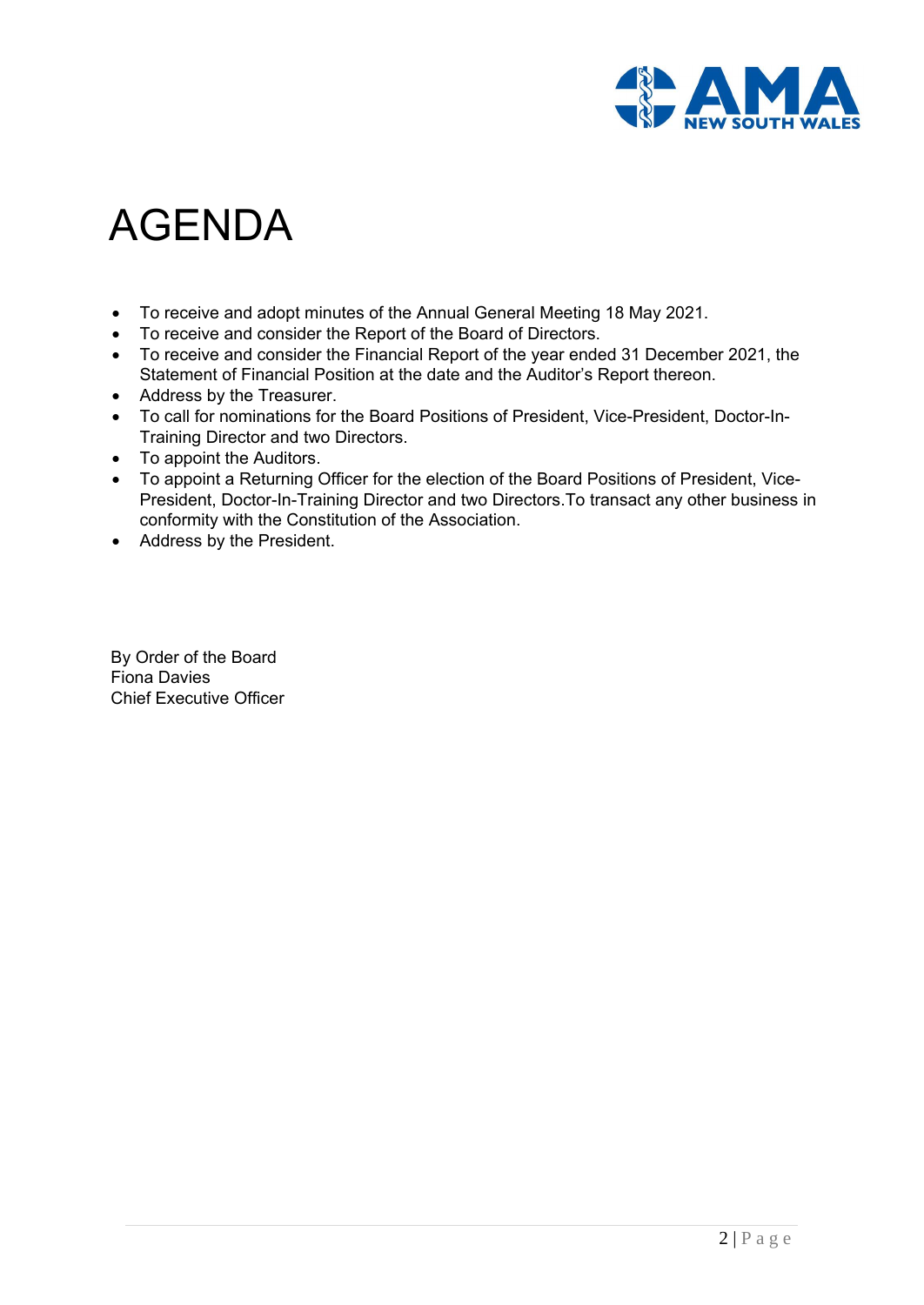

# AGENDA

- To receive and adopt minutes of the Annual General Meeting 18 May 2021.
- To receive and consider the Report of the Board of Directors.
- To receive and consider the Financial Report of the year ended 31 December 2021, the Statement of Financial Position at the date and the Auditor's Report thereon.
- Address by the Treasurer.
- To call for nominations for the Board Positions of President, Vice-President, Doctor-In-Training Director and two Directors.
- To appoint the Auditors.
- To appoint a Returning Officer for the election of the Board Positions of President, Vice-President, Doctor-In-Training Director and two Directors.To transact any other business in conformity with the Constitution of the Association.
- Address by the President.

By Order of the Board Fiona Davies Chief Executive Officer